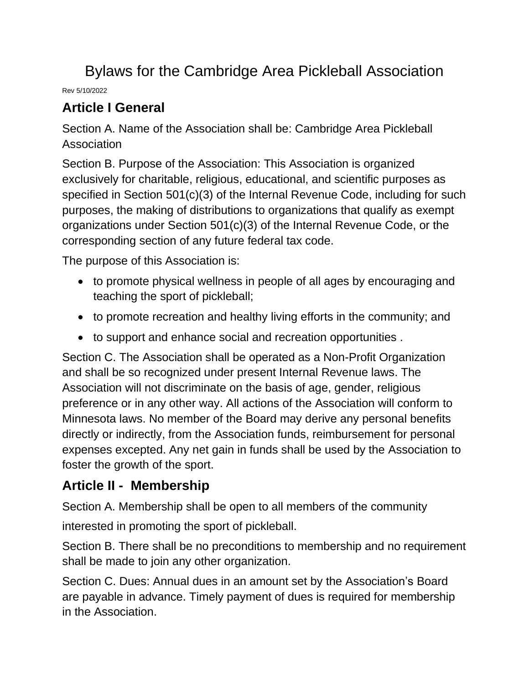# Bylaws for the Cambridge Area Pickleball Association

Rev 5/10/2022

## **Article I General**

Section A. Name of the Association shall be: Cambridge Area Pickleball Association

Section B. Purpose of the Association: This Association is organized exclusively for charitable, religious, educational, and scientific purposes as specified in Section 501(c)(3) of the Internal Revenue Code, including for such purposes, the making of distributions to organizations that qualify as exempt organizations under Section 501(c)(3) of the Internal Revenue Code, or the corresponding section of any future federal tax code.

The purpose of this Association is:

- to promote physical wellness in people of all ages by encouraging and teaching the sport of pickleball;
- to promote recreation and healthy living efforts in the community; and
- to support and enhance social and recreation opportunities .

Section C. The Association shall be operated as a Non-Profit Organization and shall be so recognized under present Internal Revenue laws. The Association will not discriminate on the basis of age, gender, religious preference or in any other way. All actions of the Association will conform to Minnesota laws. No member of the Board may derive any personal benefits directly or indirectly, from the Association funds, reimbursement for personal expenses excepted. Any net gain in funds shall be used by the Association to foster the growth of the sport.

#### **Article II - Membership**

Section A. Membership shall be open to all members of the community

interested in promoting the sport of pickleball.

Section B. There shall be no preconditions to membership and no requirement shall be made to join any other organization.

Section C. Dues: Annual dues in an amount set by the Association's Board are payable in advance. Timely payment of dues is required for membership in the Association.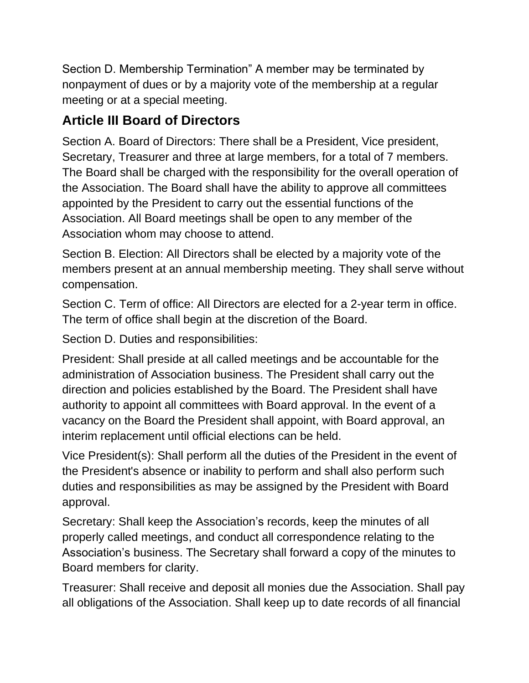Section D. Membership Termination" A member may be terminated by nonpayment of dues or by a majority vote of the membership at a regular meeting or at a special meeting.

## **Article III Board of Directors**

Section A. Board of Directors: There shall be a President, Vice president, Secretary, Treasurer and three at large members, for a total of 7 members. The Board shall be charged with the responsibility for the overall operation of the Association. The Board shall have the ability to approve all committees appointed by the President to carry out the essential functions of the Association. All Board meetings shall be open to any member of the Association whom may choose to attend.

Section B. Election: All Directors shall be elected by a majority vote of the members present at an annual membership meeting. They shall serve without compensation.

Section C. Term of office: All Directors are elected for a 2-year term in office. The term of office shall begin at the discretion of the Board.

Section D. Duties and responsibilities:

President: Shall preside at all called meetings and be accountable for the administration of Association business. The President shall carry out the direction and policies established by the Board. The President shall have authority to appoint all committees with Board approval. In the event of a vacancy on the Board the President shall appoint, with Board approval, an interim replacement until official elections can be held.

Vice President(s): Shall perform all the duties of the President in the event of the President's absence or inability to perform and shall also perform such duties and responsibilities as may be assigned by the President with Board approval.

Secretary: Shall keep the Association's records, keep the minutes of all properly called meetings, and conduct all correspondence relating to the Association's business. The Secretary shall forward a copy of the minutes to Board members for clarity.

Treasurer: Shall receive and deposit all monies due the Association. Shall pay all obligations of the Association. Shall keep up to date records of all financial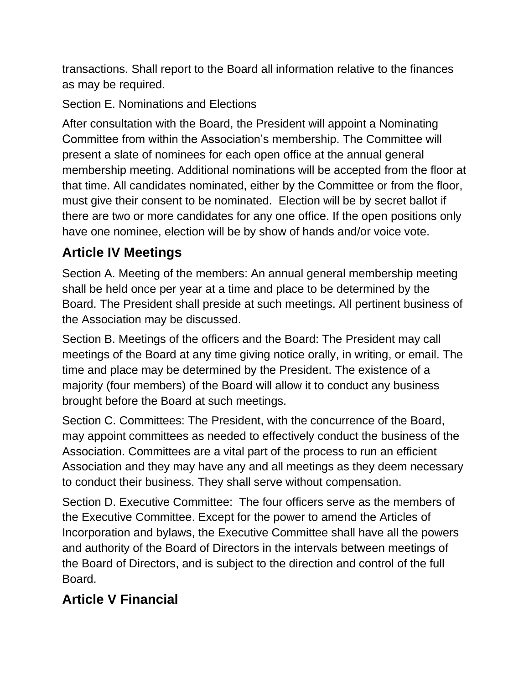transactions. Shall report to the Board all information relative to the finances as may be required.

Section E. Nominations and Elections

After consultation with the Board, the President will appoint a Nominating Committee from within the Association's membership. The Committee will present a slate of nominees for each open office at the annual general membership meeting. Additional nominations will be accepted from the floor at that time. All candidates nominated, either by the Committee or from the floor, must give their consent to be nominated. Election will be by secret ballot if there are two or more candidates for any one office. If the open positions only have one nominee, election will be by show of hands and/or voice vote.

## **Article IV Meetings**

Section A. Meeting of the members: An annual general membership meeting shall be held once per year at a time and place to be determined by the Board. The President shall preside at such meetings. All pertinent business of the Association may be discussed.

Section B. Meetings of the officers and the Board: The President may call meetings of the Board at any time giving notice orally, in writing, or email. The time and place may be determined by the President. The existence of a majority (four members) of the Board will allow it to conduct any business brought before the Board at such meetings.

Section C. Committees: The President, with the concurrence of the Board, may appoint committees as needed to effectively conduct the business of the Association. Committees are a vital part of the process to run an efficient Association and they may have any and all meetings as they deem necessary to conduct their business. They shall serve without compensation.

Section D. Executive Committee: The four officers serve as the members of the Executive Committee. Except for the power to amend the Articles of Incorporation and bylaws, the Executive Committee shall have all the powers and authority of the Board of Directors in the intervals between meetings of the Board of Directors, and is subject to the direction and control of the full Board.

## **Article V Financial**